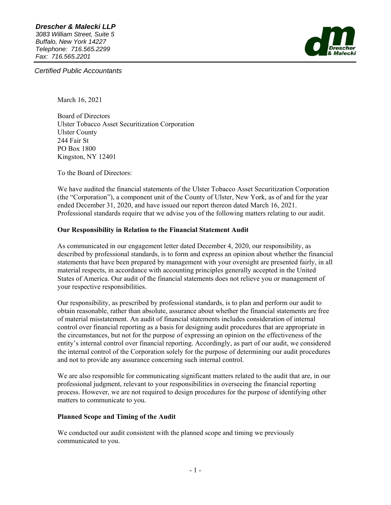

*Certified Public Accountants* 

March 16, 2021

Board of Directors Ulster Tobacco Asset Securitization Corporation Ulster County 244 Fair St PO Box 1800 Kingston, NY 12401

To the Board of Directors:

We have audited the financial statements of the Ulster Tobacco Asset Securitization Corporation (the "Corporation"), a component unit of the County of Ulster, New York, as of and for the year ended December 31, 2020, and have issued our report thereon dated March 16, 2021. Professional standards require that we advise you of the following matters relating to our audit.

#### **Our Responsibility in Relation to the Financial Statement Audit**

As communicated in our engagement letter dated December 4, 2020, our responsibility, as described by professional standards, is to form and express an opinion about whether the financial statements that have been prepared by management with your oversight are presented fairly, in all material respects, in accordance with accounting principles generally accepted in the United States of America. Our audit of the financial statements does not relieve you or management of your respective responsibilities.

Our responsibility, as prescribed by professional standards, is to plan and perform our audit to obtain reasonable, rather than absolute, assurance about whether the financial statements are free of material misstatement. An audit of financial statements includes consideration of internal control over financial reporting as a basis for designing audit procedures that are appropriate in the circumstances, but not for the purpose of expressing an opinion on the effectiveness of the entity's internal control over financial reporting. Accordingly, as part of our audit, we considered the internal control of the Corporation solely for the purpose of determining our audit procedures and not to provide any assurance concerning such internal control.

We are also responsible for communicating significant matters related to the audit that are, in our professional judgment, relevant to your responsibilities in overseeing the financial reporting process. However, we are not required to design procedures for the purpose of identifying other matters to communicate to you.

#### **Planned Scope and Timing of the Audit**

We conducted our audit consistent with the planned scope and timing we previously communicated to you.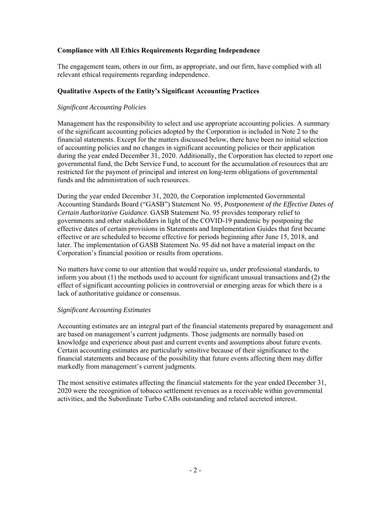## **Compliance with All Ethics Requirements Regarding Independence**

The engagement team, others in our firm, as appropriate, and our firm, have complied with all relevant ethical requirements regarding independence.

## **Qualitative Aspects of the Entity's Significant Accounting Practices**

## *Significant Accounting Policies*

Management has the responsibility to select and use appropriate accounting policies. A summary of the significant accounting policies adopted by the Corporation is included in Note 2 to the financial statements. Except for the matters discussed below, there have been no initial selection of accounting policies and no changes in significant accounting policies or their application during the year ended December 31, 2020. Additionally, the Corporation has elected to report one governmental fund, the Debt Service Fund, to account for the accumulation of resources that are restricted for the payment of principal and interest on long-term obligations of governmental funds and the administration of such resources.

During the year ended December 31, 2020, the Corporation implemented Governmental Accounting Standards Board ("GASB") Statement No. 95, *Postponement of the Effective Dates of Certain Authoritative Guidance*. GASB Statement No. 95 provides temporary relief to governments and other stakeholders in light of the COVID-19 pandemic by postponing the effective dates of certain provisions in Statements and Implementation Guides that first became effective or are scheduled to become effective for periods beginning after June 15, 2018, and later. The implementation of GASB Statement No. 95 did not have a material impact on the Corporation's financial position or results from operations.

No matters have come to our attention that would require us, under professional standards, to inform you about (1) the methods used to account for significant unusual transactions and (2) the effect of significant accounting policies in controversial or emerging areas for which there is a lack of authoritative guidance or consensus.

#### *Significant Accounting Estimates*

Accounting estimates are an integral part of the financial statements prepared by management and are based on management's current judgments. Those judgments are normally based on knowledge and experience about past and current events and assumptions about future events. Certain accounting estimates are particularly sensitive because of their significance to the financial statements and because of the possibility that future events affecting them may differ markedly from management's current judgments.

The most sensitive estimates affecting the financial statements for the year ended December 31, 2020 were the recognition of tobacco settlement revenues as a receivable within governmental activities, and the Subordinate Turbo CABs outstanding and related accreted interest.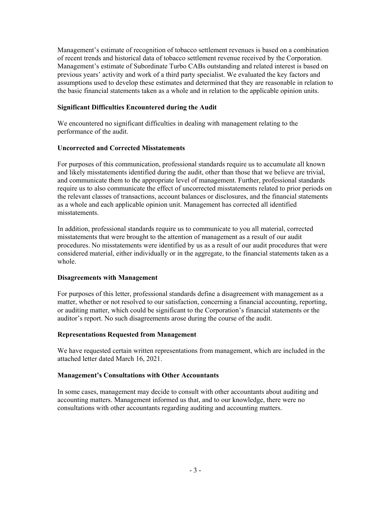Management's estimate of recognition of tobacco settlement revenues is based on a combination of recent trends and historical data of tobacco settlement revenue received by the Corporation. Management's estimate of Subordinate Turbo CABs outstanding and related interest is based on previous years' activity and work of a third party specialist. We evaluated the key factors and assumptions used to develop these estimates and determined that they are reasonable in relation to the basic financial statements taken as a whole and in relation to the applicable opinion units.

## **Significant Difficulties Encountered during the Audit**

We encountered no significant difficulties in dealing with management relating to the performance of the audit.

#### **Uncorrected and Corrected Misstatements**

For purposes of this communication, professional standards require us to accumulate all known and likely misstatements identified during the audit, other than those that we believe are trivial, and communicate them to the appropriate level of management. Further, professional standards require us to also communicate the effect of uncorrected misstatements related to prior periods on the relevant classes of transactions, account balances or disclosures, and the financial statements as a whole and each applicable opinion unit. Management has corrected all identified misstatements.

In addition, professional standards require us to communicate to you all material, corrected misstatements that were brought to the attention of management as a result of our audit procedures. No misstatements were identified by us as a result of our audit procedures that were considered material, either individually or in the aggregate, to the financial statements taken as a whole.

#### **Disagreements with Management**

For purposes of this letter, professional standards define a disagreement with management as a matter, whether or not resolved to our satisfaction, concerning a financial accounting, reporting, or auditing matter, which could be significant to the Corporation's financial statements or the auditor's report. No such disagreements arose during the course of the audit.

#### **Representations Requested from Management**

We have requested certain written representations from management, which are included in the attached letter dated March 16, 2021.

#### **Management's Consultations with Other Accountants**

In some cases, management may decide to consult with other accountants about auditing and accounting matters. Management informed us that, and to our knowledge, there were no consultations with other accountants regarding auditing and accounting matters.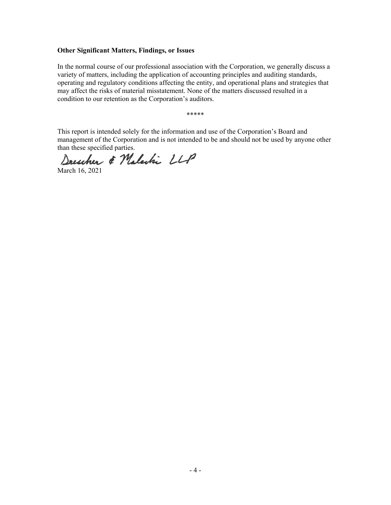#### **Other Significant Matters, Findings, or Issues**

In the normal course of our professional association with the Corporation, we generally discuss a variety of matters, including the application of accounting principles and auditing standards, operating and regulatory conditions affecting the entity, and operational plans and strategies that may affect the risks of material misstatement. None of the matters discussed resulted in a condition to our retention as the Corporation's auditors.

\*\*\*\*\*

This report is intended solely for the information and use of the Corporation's Board and management of the Corporation and is not intended to be and should not be used by anyone other than these specified parties.

Drescher & Malechi LLP

March 16, 2021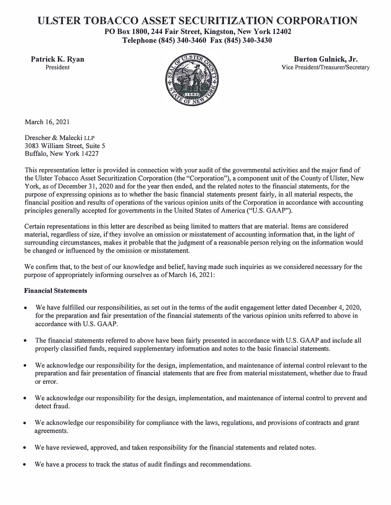# **ULSTER TOBACCO ASSET SECURITIZATION CORPORATION**

**PO Box 1800, 244 Fair Street, Kingston, New York 12402 Telephone (845) 340-3460 Fax (845) 340-3430** 



**Patrick K. Ryan Burton Gulnick, Jr. Burton Gulnick, Jr. Burton Gulnick, Jr. Burton Gulnick, Jr. President** Vice President/Treasurer/Secretary

March 16, 2021

Drescher & Malecki LLP 3083 William Street, Suite 5 Buffalo, New York 14227

This representation letter is provided in connection with your audit of the governmental activities and the major fund of the Ulster Tobacco Asset Securitization Corporation (the "Corporation"), a component unit of the County of Ulster, New York, as of December 31, 2020 and for the year then ended, and the related notes to the financial statements, for the purpose of expressing opinions as to whether the basic financial statements present fairly, in all material respects, the financial position and results of operations of the various opinion units of the Corporation in accordance with accounting principles generally accepted for governments in the United States of America ("U.S. GAAP").

Certain representations in this letter are described as being limited to matters that are material. Items are considered material, regardless of size, if they involve an omission or misstatement of accounting information that, in the light of surrounding circumstances, makes it probable that the judgment of a reasonable person relying on the information would be changed or influenced by the omission or misstatement.

We confirm that, to the best of our knowledge and belief, having made such inquiries as we considered necessary for the purpose of appropriately informing ourselves as of March 16, 2021:

# **Financial Statements**

- We have fulfilled our responsibilities, as set out in the terms of the audit engagement letter dated December 4, 2020, for the preparation and fair presentation of the financial statements of the various opinion units referred to above in accordance with U.S. GAAP.
- The financial statements referred to above have been fairly presented in accordance with U.S. GAAP and include all properly classified funds, required supplementary information and notes to the basic financial statements.
- We acknowledge our responsibility for the design, implementation, and maintenance of internal control relevant to the preparation and fair presentation of financial statements that are free from material misstatement, whether due to fraud or error.
- We acknowledge our responsibility for the design, implementation, and maintenance of internal control to prevent and detect fraud.
- We acknowledge our responsibility for compliance with the laws, regulations, and provisions of contracts and grant agreements.
- We have reviewed, approved, and taken responsibility for the financial statements and related notes.
- We have a process to track the status of audit findings and recommendations.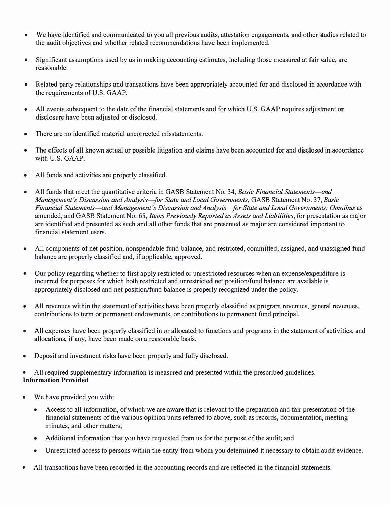- We have identified and communicated to you all previous audits, attestation engagements, and other studies related to the audit objectives and whether related recommendations have been implemented.
- Significant assumptions used by us in making accounting estimates, including those measured at fair value, are reasonable.
- Related party relationships and transactions have been appropriately accounted for and disclosed in accordance with the requirements of U.S. GAAP.
- All events subsequent to the date of the financial statements and for which U.S. GAAP requires adjustment or disclosure have been adjusted or disclosed.
- There are no identified material uncorrected misstatements.
- The effects of all known actual or possible litigation and claims have been accounted for and disclosed in accordance with U.S. GAAP.
- All funds and activities are properly classified.
- All funds that meet the quantitative criteria in GASB Statement No. 34, *Basic Financial Statements—and Management's Discussion and Analysis-for State and Local Governments,* GASB Statement No. 37, *Basic Financial Statements-and Management's Discussion and Analysis-for State and Local Governments: Omnibus* as amended, and GASB Statement No. 65, *Items Previously Reported as Assets and Liabilities,* for presentation as major are identified and presented as such and all other funds that are presented as major are considered important to financial statement users.
- All components of net position, nonspendable fund balance, and restricted, committed, assigned, and unassigned fund balance are properly classified and, if applicable, approved.
- Our policy regarding whether to first apply restricted or unrestricted resources when an expense/expenditure is incurred for purposes for which both restricted and unrestricted net position/fund balance are available is appropriately disclosed and net position/fund balance is properly recognized under the policy.
- All revenues within the statement of activities have been properly classified as program revenues, general revenues, contributions to term or permanent endowments, or contributions to permanent fund principal.
- All expenses have been properly classified in or allocated to functions and programs in the statement of activities, and allocations, if any, have been made on a reasonable basis.
- Deposit and investment risks have been properly and fully disclosed.

• All required supplementary information is measured and presented within the prescribed guidelines. **Information Provided** 

- We have provided you with:
	- Access to all information, of which we are aware that is relevant to the preparation and fair presentation of the financial statements of the various opinion units referred to above, such as records, documentation, meeting minutes, and other matters;
	- Additional information that you have requested from us for the purpose of the audit; and
	- Unrestricted access to persons within the entity from whom you determined it necessary to obtain audit evidence.
- All transactions have been recorded in the accounting records and are reflected in the financial statements.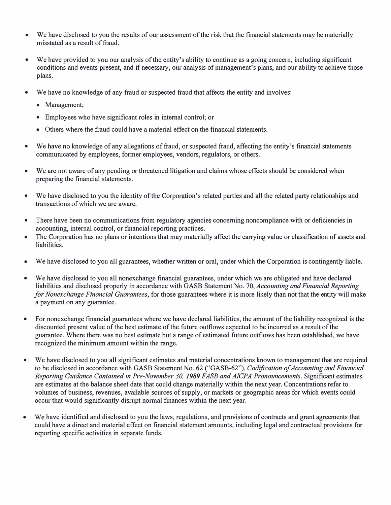- We have disclosed to you the results of our assessment of the risk that the financial statements may be materially misstated as a result of fraud.
- We have provided to you our analysis of the entity's ability to continue as a going concern, including significant conditions and events present, and if necessary, our analysis of management's plans, and our ability to achieve those plans.
- We have no knowledge of any fraud or suspected fraud that affects the entity and involves:
	- Management;
	- Employees who have significant roles in internal control; or
	- Others where the fraud could have a material effect on the financial statements.
- We have no knowledge of any allegations of fraud, or suspected fraud, affecting the entity's financial statements communicated by employees, former employees, vendors, regulators, or others.
- We are not aware of any pending or threatened litigation and claims whose effects should be considered when preparing the financial statements.
- We have disclosed to you the identity of the Corporation's related parties and all the related party relationships and transactions of which we are aware.
- There have been no communications from regulatory agencies concerning noncompliance with or deficiencies in accounting, internal control, or financial reporting practices.
- The Corporation has no plans or intentions that may materially affect the carrying value or classification of assets and liabilities.
- We have disclosed to you all guarantees, whether written or oral, under which the Corporation is contingently liable.
- We have disclosed to you all nonexchange financial guarantees, under which we are obligated and have declared liabilities and disclosed properly in accordance with GASB Statement No. 70, *Accounting and Financial Reporting for Nonexchange Financial Guarantees,* for those guarantees where it is more likely than not that the entity will make a payment on any guarantee.
- For nonexchange financial guarantees where we have declared liabilities, the amount of the liability recognized is the discounted present value of the best estimate of the future outflows expected to be incurred as a result of the guarantee. Where there was no best estimate but a range of estimated future outflows has been established, we have recognized the minimum amount within the range.
- We have disclosed to you all significant estimates and material concentrations known to management that are required to be disclosed in accordance with GASB Statement No. 62 ("GASB-62"), *Codification of Accounting and Financial Reporting Guidance Contained in Pre-November 30, 1989 FASB and AJCPA Pronouncements.* Significant estimates are estimates at the balance sheet date that could change materially within the next year. Concentrations refer to volumes of business, revenues, available sources of supply, or markets or geographic areas for which events could occur that would significantly disrupt normal finances within the next year.
- We have identified and disclosed to you the laws, regulations, and provisions of contracts and grant agreements that could have a direct and material effect on financial statement amounts, including legal and contractual provisions for reporting specific activities in separate funds.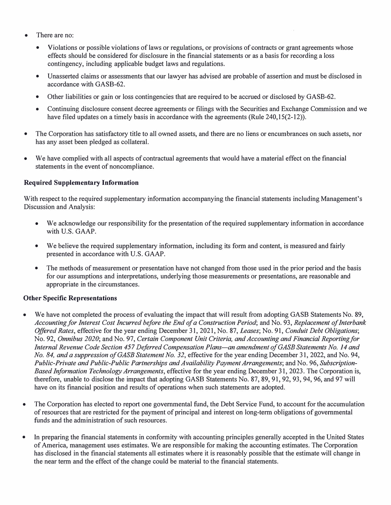- There are no:
	- Violations or possible violations of laws or regulations, or provisions of contracts or grant agreements whose effects should be considered for disclosure in the financial statements or as a basis for recording a loss contingency, including applicable budget laws and regulations.
	- Unasserted claims or assessments that our lawyer has advised are probable of assertion and must be disclosed in accordance with GASB-62.
	- Other liabilities or gain or loss contingencies that are required to be accrued or disclosed by GASB-62.
	- Continuing disclosure consent decree agreements or filings with the Securities and Exchange Commission and we have filed updates on a timely basis in accordance with the agreements (Rule 240,15(2-12)).
- The Corporation has satisfactory title to all owned assets, and there are no liens or encumbrances on such assets, nor has any asset been pledged as collateral.
- We have complied with all aspects of contractual agreements that would have a material effect on the financial statements in the event of noncompliance.

## **Required Supplementary Information**

With respect to the required supplementary information accompanying the financial statements including Management's Discussion and Analysis:

- We acknowledge our responsibility for the presentation of the required supplementary information in accordance with U.S. GAAP.
- We believe the required supplementary information, including its form and content, is measured and fairly presented in accordance with U.S. GAAP.
- The methods of measurement or presentation have not changed from those used in the prior period and the basis for our assumptions and interpretations, underlying those measurements or presentations, are reasonable and appropriate in the circumstances.

## **Other Specific Representations**

- We have not completed the process of evaluating the impact that will result from adopting GASB Statements No. 89, *Accounting for Interest Cost Incurred before the End of a Construction Period;* and No. 93, *Replacement of Interbank Offered Rates,* effective for the year ending December 31, 2021, No. 87, *Leases;* No. 91, *Conduit Debt Obligations;* No. 92, *Omnibus 2020;* and No. 97, *Certain Component Unit Criteria, and Accounting and Financial Reporting for Internal Revenue Code Section 457 Deferred Compensation Plans-an amendment ofGASB Statements No. 14 and No. 84, and a suppression of GASE Statement No. 32,* effective for the year ending December 31, 2022, and No. 94, *Public-Private and Public-Public Partnerships and Availability Payment Arrangements;* and No. 96, *Subscription-Based Information Technology Arrangements,* effective for the year ending December 31, 2023. The Corporation is, therefore, unable to disclose the impact that adopting GASB Statements No. 87, 89, 91, 92, 93, 94, 96, and 97 will have on its financial position and results of operations when such statements are adopted.
- The Corporation has elected to report one governmental fund, the Debt Service Fund, to account for the accumulation of resources that are restricted for the payment of principal and interest on long-term obligations of governmental funds and the administration of such resources.
- In preparing the financial statements in conformity with accounting principles generally accepted in the United States of America, management uses estimates. We are responsible for making the accounting estimates. The Corporation has disclosed in the financial statements all estimates where it is reasonably possible that the estimate will change in the near term and the effect of the change could be material to the financial statements.